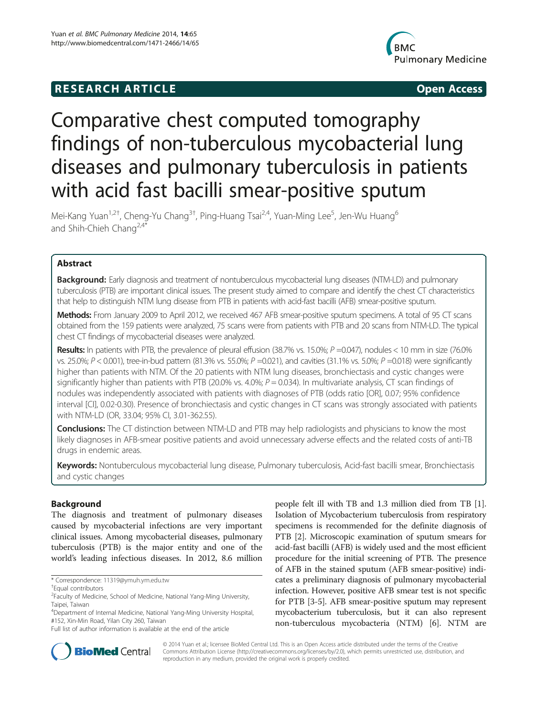# **RESEARCH ARTICLE Example 2014 The SEAR CH ACCESS**



# Comparative chest computed tomography findings of non-tuberculous mycobacterial lung diseases and pulmonary tuberculosis in patients with acid fast bacilli smear-positive sputum

Mei-Kang Yuan<sup>1,2†</sup>, Cheng-Yu Chang<sup>3†</sup>, Ping-Huang Tsai<sup>2,4</sup>, Yuan-Ming Lee<sup>5</sup>, Jen-Wu Huang<sup>6</sup> and Shih-Chieh Chang<sup>2,4\*</sup>

# Abstract

Background: Early diagnosis and treatment of nontuberculous mycobacterial lung diseases (NTM-LD) and pulmonary tuberculosis (PTB) are important clinical issues. The present study aimed to compare and identify the chest CT characteristics that help to distinguish NTM lung disease from PTB in patients with acid-fast bacilli (AFB) smear-positive sputum.

Methods: From January 2009 to April 2012, we received 467 AFB smear-positive sputum specimens. A total of 95 CT scans obtained from the 159 patients were analyzed, 75 scans were from patients with PTB and 20 scans from NTM-LD. The typical chest CT findings of mycobacterial diseases were analyzed.

Results: In patients with PTB, the prevalence of pleural effusion  $(38.7\% \text{ vs. } 15.0\% \text{ } P = 0.047)$ , nodules < 10 mm in size  $(76.0\%$ vs. 25.0%;  $P < 0.001$ ), tree-in-bud pattern (81.3% vs. 55.0%;  $P = 0.021$ ), and cavities (31.1% vs. 5.0%;  $P = 0.018$ ) were significantly higher than patients with NTM. Of the 20 patients with NTM lung diseases, bronchiectasis and cystic changes were significantly higher than patients with PTB (20.0% vs. 4.0%;  $P = 0.034$ ). In multivariate analysis, CT scan findings of nodules was independently associated with patients with diagnoses of PTB (odds ratio [OR], 0.07; 95% confidence interval [CI], 0.02-0.30). Presence of bronchiectasis and cystic changes in CT scans was strongly associated with patients with NTM-LD (OR, 33.04; 95% CI, 3.01-362.55).

**Conclusions:** The CT distinction between NTM-LD and PTB may help radiologists and physicians to know the most likely diagnoses in AFB-smear positive patients and avoid unnecessary adverse effects and the related costs of anti-TB drugs in endemic areas.

Keywords: Nontuberculous mycobacterial lung disease, Pulmonary tuberculosis, Acid-fast bacilli smear, Bronchiectasis and cystic changes

## Background

The diagnosis and treatment of pulmonary diseases caused by mycobacterial infections are very important clinical issues. Among mycobacterial diseases, pulmonary tuberculosis (PTB) is the major entity and one of the world's leading infectious diseases. In 2012, 8.6 million

people felt ill with TB and 1.3 million died from TB [[1](#page-4-0)]. Isolation of Mycobacterium tuberculosis from respiratory specimens is recommended for the definite diagnosis of PTB [\[2](#page-4-0)]. Microscopic examination of sputum smears for acid-fast bacilli (AFB) is widely used and the most efficient procedure for the initial screening of PTB. The presence of AFB in the stained sputum (AFB smear-positive) indicates a preliminary diagnosis of pulmonary mycobacterial infection. However, positive AFB smear test is not specific for PTB [[3-5\]](#page-4-0). AFB smear-positive sputum may represent mycobacterium tuberculosis, but it can also represent non-tuberculous mycobacteria (NTM) [[6](#page-4-0)]. NTM are



© 2014 Yuan et al.; licensee BioMed Central Ltd. This is an Open Access article distributed under the terms of the Creative Commons Attribution License [\(http://creativecommons.org/licenses/by/2.0\)](http://creativecommons.org/licenses/by/2.0), which permits unrestricted use, distribution, and reproduction in any medium, provided the original work is properly credited.

<sup>\*</sup> Correspondence: [11319@ymuh.ym.edu.tw](mailto:11319@ymuh.ym.edu.tw) †

Equal contributors

<sup>&</sup>lt;sup>2</sup> Faculty of Medicine, School of Medicine, National Yang-Ming University, Taipei, Taiwan

<sup>4</sup> Department of Internal Medicine, National Yang-Ming University Hospital, #152, Xin-Min Road, Yilan City 260, Taiwan

Full list of author information is available at the end of the article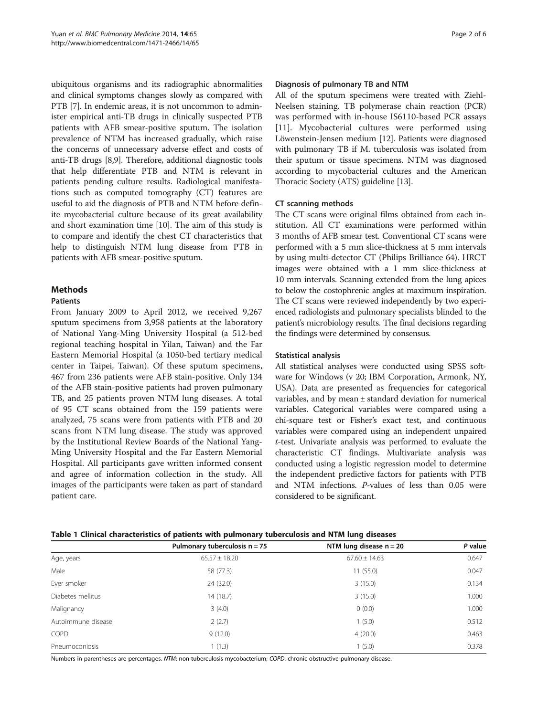<span id="page-1-0"></span>ubiquitous organisms and its radiographic abnormalities and clinical symptoms changes slowly as compared with PTB [\[7](#page-4-0)]. In endemic areas, it is not uncommon to administer empirical anti-TB drugs in clinically suspected PTB patients with AFB smear-positive sputum. The isolation prevalence of NTM has increased gradually, which raise the concerns of unnecessary adverse effect and costs of anti-TB drugs [\[8,9\]](#page-4-0). Therefore, additional diagnostic tools that help differentiate PTB and NTM is relevant in patients pending culture results. Radiological manifestations such as computed tomography (CT) features are useful to aid the diagnosis of PTB and NTM before definite mycobacterial culture because of its great availability and short examination time [[10](#page-4-0)]. The aim of this study is to compare and identify the chest CT characteristics that help to distinguish NTM lung disease from PTB in patients with AFB smear-positive sputum.

## **Methods**

#### **Patients**

From January 2009 to April 2012, we received 9,267 sputum specimens from 3,958 patients at the laboratory of National Yang-Ming University Hospital (a 512-bed regional teaching hospital in Yilan, Taiwan) and the Far Eastern Memorial Hospital (a 1050-bed tertiary medical center in Taipei, Taiwan). Of these sputum specimens, 467 from 236 patients were AFB stain-positive. Only 134 of the AFB stain-positive patients had proven pulmonary TB, and 25 patients proven NTM lung diseases. A total of 95 CT scans obtained from the 159 patients were analyzed, 75 scans were from patients with PTB and 20 scans from NTM lung disease. The study was approved by the Institutional Review Boards of the National Yang-Ming University Hospital and the Far Eastern Memorial Hospital. All participants gave written informed consent and agree of information collection in the study. All images of the participants were taken as part of standard patient care.

#### Diagnosis of pulmonary TB and NTM

All of the sputum specimens were treated with Ziehl-Neelsen staining. TB polymerase chain reaction (PCR) was performed with in-house IS6110-based PCR assays [[11\]](#page-4-0). Mycobacterial cultures were performed using Löwenstein-Jensen medium [\[12\]](#page-4-0). Patients were diagnosed with pulmonary TB if M. tuberculosis was isolated from their sputum or tissue specimens. NTM was diagnosed according to mycobacterial cultures and the American Thoracic Society (ATS) guideline [\[13](#page-4-0)].

#### CT scanning methods

The CT scans were original films obtained from each institution. All CT examinations were performed within 3 months of AFB smear test. Conventional CT scans were performed with a 5 mm slice-thickness at 5 mm intervals by using multi-detector CT (Philips Brilliance 64). HRCT images were obtained with a 1 mm slice-thickness at 10 mm intervals. Scanning extended from the lung apices to below the costophrenic angles at maximum inspiration. The CT scans were reviewed independently by two experienced radiologists and pulmonary specialists blinded to the patient's microbiology results. The final decisions regarding the findings were determined by consensus.

#### Statistical analysis

All statistical analyses were conducted using SPSS software for Windows (v 20; IBM Corporation, Armonk, NY, USA). Data are presented as frequencies for categorical variables, and by mean ± standard deviation for numerical variables. Categorical variables were compared using a chi-square test or Fisher's exact test, and continuous variables were compared using an independent unpaired t-test. Univariate analysis was performed to evaluate the characteristic CT findings. Multivariate analysis was conducted using a logistic regression model to determine the independent predictive factors for patients with PTB and NTM infections. P-values of less than 0.05 were considered to be significant.

| Table 1 Clinical characteristics of patients with pulmonary tuberculosis and NTM lung diseases |  |  |  |
|------------------------------------------------------------------------------------------------|--|--|--|
|------------------------------------------------------------------------------------------------|--|--|--|

|                    | Pulmonary tuberculosis $n = 75$ | NTM lung disease $n = 20$ | P value |
|--------------------|---------------------------------|---------------------------|---------|
| Age, years         | $65.57 \pm 18.20$               | $67.60 \pm 14.63$         | 0.647   |
| Male               | 58 (77.3)                       | 11(55.0)                  | 0.047   |
| Ever smoker        | 24(32.0)                        | 3(15.0)                   | 0.134   |
| Diabetes mellitus  | 14(18.7)                        | 3(15.0)                   | 1.000   |
| Malignancy         | 3(4.0)                          | 0(0.0)                    | 1.000   |
| Autoimmune disease | 2(2.7)                          | 1(5.0)                    | 0.512   |
| <b>COPD</b>        | 9(12.0)                         | 4(20.0)                   | 0.463   |
| Pneumoconiosis     | 1(1.3)                          | 1(5.0)                    | 0.378   |

Numbers in parentheses are percentages. NTM: non-tuberculosis mycobacterium; COPD: chronic obstructive pulmonary disease.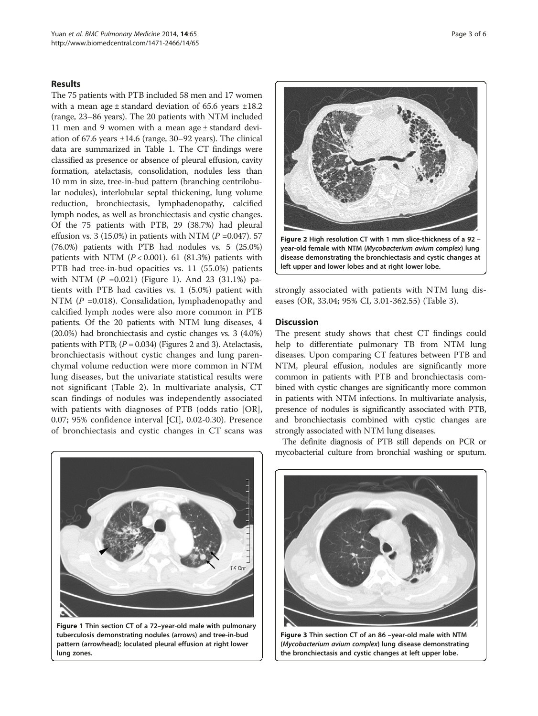#### Results

The 75 patients with PTB included 58 men and 17 women with a mean age ± standard deviation of 65.6 years ±18.2 (range, 23–86 years). The 20 patients with NTM included 11 men and 9 women with a mean age ± standard deviation of 67.6 years ±14.6 (range, 30–92 years). The clinical data are summarized in Table [1](#page-1-0). The CT findings were classified as presence or absence of pleural effusion, cavity formation, atelactasis, consolidation, nodules less than 10 mm in size, tree-in-bud pattern (branching centrilobular nodules), interlobular septal thickening, lung volume reduction, bronchiectasis, lymphadenopathy, calcified lymph nodes, as well as bronchiectasis and cystic changes. Of the 75 patients with PTB, 29 (38.7%) had pleural effusion vs. 3 (15.0%) in patients with NTM ( $P = 0.047$ ). 57 (76.0%) patients with PTB had nodules vs. 5 (25.0%) patients with NTM  $(P < 0.001)$ . 61 (81.3%) patients with PTB had tree-in-bud opacities vs. 11 (55.0%) patients with NTM  $(P = 0.021)$  (Figure 1). And 23 (31.1%) patients with PTB had cavities vs. 1 (5.0%) patient with NTM ( $P = 0.018$ ). Consalidation, lymphadenopathy and calcified lymph nodes were also more common in PTB patients. Of the 20 patients with NTM lung diseases, 4 (20.0%) had bronchiectasis and cystic changes vs. 3 (4.0%) patients with PTB;  $(P = 0.034)$  (Figures 2 and 3). Atelactasis, bronchiectasis without cystic changes and lung parenchymal volume reduction were more common in NTM lung diseases, but the univariate statistical results were not significant (Table [2\)](#page-3-0). In multivariate analysis, CT scan findings of nodules was independently associated with patients with diagnoses of PTB (odds ratio [OR], 0.07; 95% confidence interval [CI], 0.02-0.30). Presence of bronchiectasis and cystic changes in CT scans was



Figure 1 Thin section CT of a 72–year-old male with pulmonary tuberculosis demonstrating nodules (arrows) and tree-in-bud pattern (arrowhead); loculated pleural effusion at right lower lung zones.



year-old female with NTM (Mycobacterium avium complex) lung disease demonstrating the bronchiectasis and cystic changes at left upper and lower lobes and at right lower lobe.

strongly associated with patients with NTM lung diseases (OR, 33.04; 95% CI, 3.01-362.55) (Table [3](#page-3-0)).

#### **Discussion**

The present study shows that chest CT findings could help to differentiate pulmonary TB from NTM lung diseases. Upon comparing CT features between PTB and NTM, pleural effusion, nodules are significantly more common in patients with PTB and bronchiectasis combined with cystic changes are significantly more common in patients with NTM infections. In multivariate analysis, presence of nodules is significantly associated with PTB, and bronchiectasis combined with cystic changes are strongly associated with NTM lung diseases.

The definite diagnosis of PTB still depends on PCR or mycobacterial culture from bronchial washing or sputum.



Figure 3 Thin section CT of an 86 –year-old male with NTM (Mycobacterium avium complex) lung disease demonstrating the bronchiectasis and cystic changes at left upper lobe.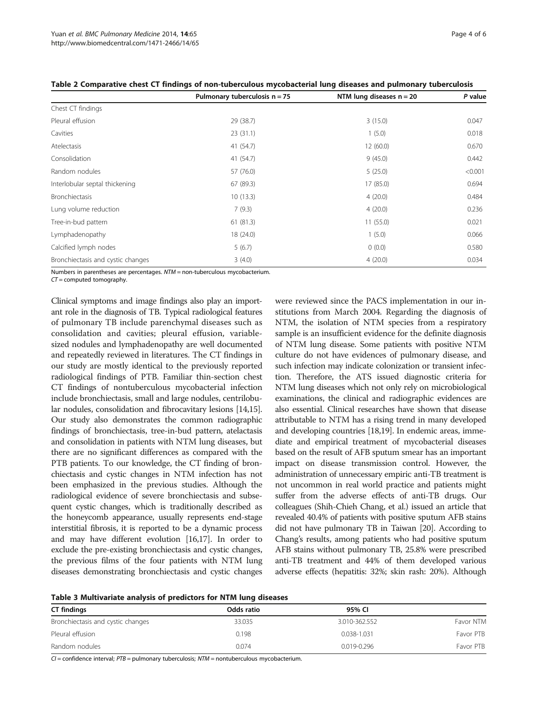|                                   | Pulmonary tuberculosis $n = 75$ | NTM lung diseases $n = 20$ | P value |
|-----------------------------------|---------------------------------|----------------------------|---------|
| Chest CT findings                 |                                 |                            |         |
| Pleural effusion                  | 29 (38.7)                       | 3(15.0)                    | 0.047   |
| Cavities                          | 23(31.1)                        | 1(5.0)                     | 0.018   |
| Atelectasis                       | 41 (54.7)                       | 12 (60.0)                  | 0.670   |
| Consolidation                     | 41 (54.7)                       | 9(45.0)                    | 0.442   |
| Random nodules                    | 57 (76.0)                       | 5(25.0)                    | < 0.001 |
| Interlobular septal thickening    | 67 (89.3)                       | 17 (85.0)                  | 0.694   |
| <b>Bronchiectasis</b>             | 10(13.3)                        | 4(20.0)                    | 0.484   |
| Lung volume reduction             | 7(9.3)                          | 4(20.0)                    | 0.236   |
| Tree-in-bud pattern               | 61(81.3)                        | 11(55.0)                   | 0.021   |
| Lymphadenopathy                   | 18 (24.0)                       | 1(5.0)                     | 0.066   |
| Calcified lymph nodes             | 5(6.7)                          | 0(0.0)                     | 0.580   |
| Bronchiectasis and cystic changes | 3(4.0)                          | 4(20.0)                    | 0.034   |

<span id="page-3-0"></span>

| Table 2 Comparative chest CT findings of non-tuberculous mycobacterial lung diseases and pulmonary tuberculosis |  |
|-----------------------------------------------------------------------------------------------------------------|--|
|-----------------------------------------------------------------------------------------------------------------|--|

Numbers in parentheses are percentages. NTM = non-tuberculous mycobacterium.  $CT = computed$  tomography.

Clinical symptoms and image findings also play an important role in the diagnosis of TB. Typical radiological features of pulmonary TB include parenchymal diseases such as consolidation and cavities; pleural effusion, variablesized nodules and lymphadenopathy are well documented and repeatedly reviewed in literatures. The CT findings in our study are mostly identical to the previously reported radiological findings of PTB. Familiar thin-section chest CT findings of nontuberculous mycobacterial infection include bronchiectasis, small and large nodules, centrilobular nodules, consolidation and fibrocavitary lesions [\[14,15](#page-4-0)]. Our study also demonstrates the common radiographic findings of bronchiectasis, tree-in-bud pattern, atelactasis and consolidation in patients with NTM lung diseases, but there are no significant differences as compared with the PTB patients. To our knowledge, the CT finding of bronchiectasis and cystic changes in NTM infection has not been emphasized in the previous studies. Although the radiological evidence of severe bronchiectasis and subsequent cystic changes, which is traditionally described as the honeycomb appearance, usually represents end-stage interstitial fibrosis, it is reported to be a dynamic process and may have different evolution [[16,17\]](#page-4-0). In order to exclude the pre-existing bronchiectasis and cystic changes, the previous films of the four patients with NTM lung diseases demonstrating bronchiectasis and cystic changes were reviewed since the PACS implementation in our institutions from March 2004. Regarding the diagnosis of NTM, the isolation of NTM species from a respiratory sample is an insufficient evidence for the definite diagnosis of NTM lung disease. Some patients with positive NTM culture do not have evidences of pulmonary disease, and such infection may indicate colonization or transient infection. Therefore, the ATS issued diagnostic criteria for NTM lung diseases which not only rely on microbiological examinations, the clinical and radiographic evidences are also essential. Clinical researches have shown that disease attributable to NTM has a rising trend in many developed and developing countries [\[18,](#page-4-0)[19](#page-5-0)]. In endemic areas, immediate and empirical treatment of mycobacterial diseases based on the result of AFB sputum smear has an important impact on disease transmission control. However, the administration of unnecessary empiric anti-TB treatment is not uncommon in real world practice and patients might suffer from the adverse effects of anti-TB drugs. Our colleagues (Shih-Chieh Chang, et al.) issued an article that revealed 40.4% of patients with positive sputum AFB stains did not have pulmonary TB in Taiwan [[20](#page-5-0)]. According to Chang's results, among patients who had positive sputum AFB stains without pulmonary TB, 25.8% were prescribed anti-TB treatment and 44% of them developed various adverse effects (hepatitis: 32%; skin rash: 20%). Although

|  |  | Table 3 Multivariate analysis of predictors for NTM lung diseases |  |  |  |  |  |  |  |
|--|--|-------------------------------------------------------------------|--|--|--|--|--|--|--|
|--|--|-------------------------------------------------------------------|--|--|--|--|--|--|--|

| <b>CT</b> findings                | Odds ratio | 95% CI        |           |
|-----------------------------------|------------|---------------|-----------|
| Bronchiectasis and cystic changes | 33.035     | 3.010-362.552 | Favor NTM |
| Pleural effusion                  | 0.198      | 0.038-1.031   | Favor PTB |
| Random nodules                    | 0.074      | 0.019-0.296   | Favor PTB |

 $CI =$  confidence interval;  $PTB =$  pulmonary tuberculosis;  $NTM =$  nontuberculous mycobacterium.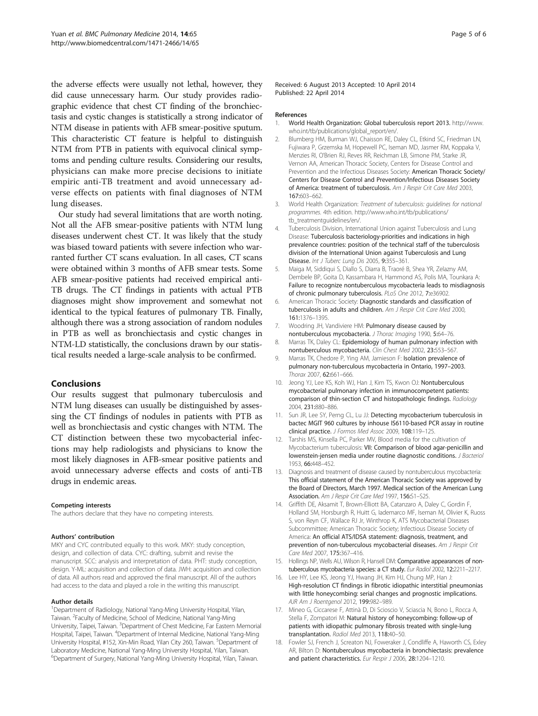<span id="page-4-0"></span>the adverse effects were usually not lethal, however, they did cause unnecessary harm. Our study provides radiographic evidence that chest CT finding of the bronchiectasis and cystic changes is statistically a strong indicator of NTM disease in patients with AFB smear-positive sputum. This characteristic CT feature is helpful to distinguish NTM from PTB in patients with equivocal clinical symptoms and pending culture results. Considering our results, physicians can make more precise decisions to initiate empiric anti-TB treatment and avoid unnecessary adverse effects on patients with final diagnoses of NTM lung diseases.

Our study had several limitations that are worth noting. Not all the AFB smear-positive patients with NTM lung diseases underwent chest CT. It was likely that the study was biased toward patients with severe infection who warranted further CT scans evaluation. In all cases, CT scans were obtained within 3 months of AFB smear tests. Some AFB smear-positive patients had received empirical anti-TB drugs. The CT findings in patients with actual PTB diagnoses might show improvement and somewhat not identical to the typical features of pulmonary TB. Finally, although there was a strong association of random nodules in PTB as well as bronchiectasis and cystic changes in NTM-LD statistically, the conclusions drawn by our statistical results needed a large-scale analysis to be confirmed.

#### Conclusions

Our results suggest that pulmonary tuberculosis and NTM lung diseases can usually be distinguished by assessing the CT findings of nodules in patients with PTB as well as bronchiectasis and cystic changes with NTM. The CT distinction between these two mycobacterial infections may help radiologists and physicians to know the most likely diagnoses in AFB-smear positive patients and avoid unnecessary adverse effects and costs of anti-TB drugs in endemic areas.

#### Competing interests

The authors declare that they have no competing interests.

#### Authors' contribution

MKY and CYC contributed equally to this work. MKY: study conception, design, and collection of data. CYC: drafting, submit and revise the manuscript. SCC: analysis and interpretation of data. PHT: study conception, design. Y-ML: acquisition and collection of data. JWH: acquisition and collection of data. All authors read and approved the final manuscript. All of the authors had access to the data and played a role in the writing this manuscript.

#### Author details

<sup>1</sup>Department of Radiology, National Yang-Ming University Hospital, Yilan, Taiwan. <sup>2</sup>Faculty of Medicine, School of Medicine, National Yang-Ming University, Taipei, Taiwan. <sup>3</sup>Department of Chest Medicine, Far Eastern Memorial Hospital, Taipei, Taiwan. <sup>4</sup>Department of Internal Medicine, National Yang-Ming University Hospital, #152, Xin-Min Road, Yilan City 260, Taiwan. <sup>5</sup>Department of Laboratory Medicine, National Yang-Ming University Hospital, Yilan, Taiwan. 6 Department of Surgery, National Yang-Ming University Hospital, Yilan, Taiwan.

#### References

- 1. World Health Organization: Global tuberculosis report 2013. [http://www.](http://www.who.int/tb/publications/global_report/en/) [who.int/tb/publications/global\\_report/en/.](http://www.who.int/tb/publications/global_report/en/)
- 2. Blumberg HM, Burman WJ, Chaisson RE, Daley CL, Etkind SC, Friedman LN, Fujiwara P, Grzemska M, Hopewell PC, Iseman MD, Jasmer RM, Koppaka V, Menzies RI, O'Brien RJ, Reves RR, Reichman LB, Simone PM, Starke JR, Vernon AA, American Thoracic Society, Centers for Disease Control and Prevention and the Infectious Diseases Society: American Thoracic Society/ Centers for Disease Control and Prevention/Infectious Diseases Society of America: treatment of tuberculosis. Am J Respir Crit Care Med 2003, 167:603–662.
- 3. World Health Organization: Treatment of tuberculosis: guidelines for national programmes. 4th edition. [http://www.who.int/tb/publications/](http://www.who.int/tb/publications/tb_treatmentguidelines/en/) tb\_treatmentquidelines/en/.
- 4. Tuberculosis Division, International Union against Tuberculosis and Lung Disease: Tuberculosis bacteriology-priorities and indications in high prevalence countries: position of the technical staff of the tuberculosis division of the International Union against Tuberculosis and Lung Disease. Int J Tuberc Lung Dis 2005, 9:355–361.
- 5. Maiga M, Siddiqui S, Diallo S, Diarra B, Traoré B, Shea YR, Zelazny AM, Dembele BP, Goita D, Kassambara H, Hammond AS, Polis MA, Tounkara A: Failure to recognize nontuberculous mycobacteria leads to misdiagnosis of chronic pulmonary tuberculosis. PLoS One 2012, 7:e36902.
- 6. American Thoracic Society: Diagnostic standards and classification of tuberculosis in adults and children. Am J Respir Crit Care Med 2000, 161:1376–1395.
- 7. Woodring JH, Vandiviere HM: Pulmonary disease caused by nontuberculous mycobacteria. J Thorac Imaging 1990, 5:64–76.
- 8. Marras TK, Daley CL: Epidemiology of human pulmonary infection with nontuberculous mycobacteria. Clin Chest Med 2002, 23:553–567.
- 9. Marras TK, Chedore P, Ying AM, Jamieson F: Isolation prevalence of pulmonary non-tuberculous mycobacteria in Ontario, 1997–2003. Thorax 2007, 62:661–666.
- 10. Jeong YJ, Lee KS, Koh WJ, Han J, Kim TS, Kwon OJ: Nontuberculous mycobacterial pulmonary infection in immunocompetent patients: comparison of thin-section CT and histopathologic findings. Radiology 2004, 231:880–886.
- 11. Sun JR, Lee SY, Perng CL, Lu JJ: Detecting mycobacterium tuberculosis in bactec MGIT 960 cultures by inhouse IS6110-based PCR assay in routine clinical practice. J Formos Med Assoc 2009, 108:119–125.
- 12. Tarshis MS, Kinsella PC, Parker MV, Blood media for the cultivation of Mycobacterium tuberculosis: VII: Comparison of blood agar-penicillin and lowenstein-jensen media under routine diagnostic conditions. J Bacteriol 1953, 66:448–452.
- 13. Diagnosis and treatment of disease caused by nontuberculous mycobacteria: This official statement of the American Thoracic Society was approved by the Board of Directors, March 1997. Medical section of the American Lung Association. Am J Respir Crit Care Med 1997, 156:S1–S25.
- 14. Griffith DE, Aksamit T, Brown-Elliott BA, Catanzaro A, Daley C, Gordin F, Holland SM, Horsburgh R, Huitt G, Iademarco MF, Iseman M, Olivier K, Ruoss S, von Reyn CF, Wallace RJ Jr, Winthrop K, ATS Mycobacterial Diseases Subcommittee; American Thoracic Society; Infectious Disease Society of America: An official ATS/IDSA statement: diagnosis, treatment, and prevention of non-tuberculous mycobacterial diseases. Am J Respir Crit Care Med 2007, 175:367-416.
- 15. Hollings NP, Wells AU, Wilson R, Hansell DM: Comparative appearances of nontuberculous mycobacteria species: a CT study. Eur Radiol 2002, 12:2211–2217.
- 16. Lee HY, Lee KS, Jeong YJ, Hwang JH, Kim HJ, Chung MP, Han J: High-resolution CT findings in fibrotic idiopathic interstitial pneumonias with little honeycombing: serial changes and prognostic implications. AJR Am J Roentgenol 2012, 199:982–989.
- 17. Mineo G, Ciccarese F, Attinà D, Di Scioscio V, Sciascia N, Bono L, Rocca A, Stella F, Zompatori M: Natural history of honeycombing: follow-up of patients with idiopathic pulmonary fibrosis treated with single-lung transplantation. Radiol Med 2013, 118:40–50.
- 18. Fowler SJ, French J, Screaton NJ, Foweraker J, Condliffe A, Haworth CS, Exley AR, Bilton D: Nontuberculous mycobacteria in bronchiectasis: prevalence and patient characteristics. Eur Respir J 2006, 28:1204-1210.